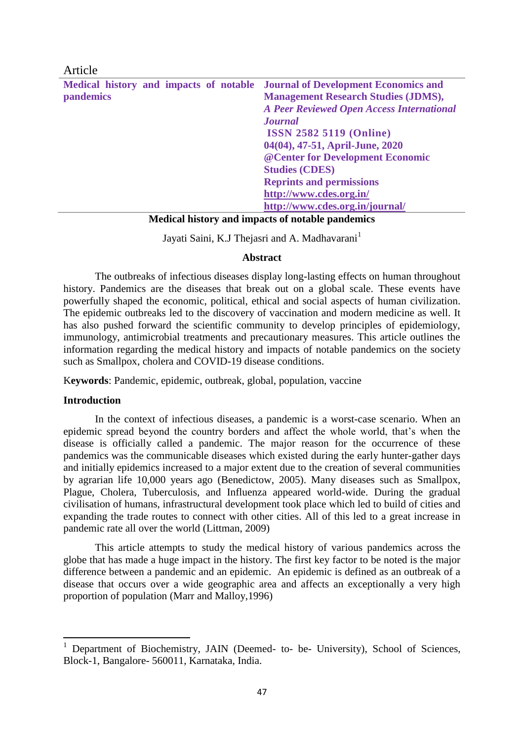| Article                                                                     |                                                  |
|-----------------------------------------------------------------------------|--------------------------------------------------|
| Medical history and impacts of notable Journal of Development Economics and |                                                  |
| pandemics                                                                   | <b>Management Research Studies (JDMS),</b>       |
|                                                                             | <b>A Peer Reviewed Open Access International</b> |
|                                                                             | <b>Journal</b>                                   |
|                                                                             | <b>ISSN 2582 5119 (Online)</b>                   |
|                                                                             | 04(04), 47-51, April-June, 2020                  |
|                                                                             | @ Center for Development Economic                |
|                                                                             | <b>Studies (CDES)</b>                            |
|                                                                             | <b>Reprints and permissions</b>                  |
|                                                                             | http://www.cdes.org.in/                          |
|                                                                             | http://www.cdes.org.in/journal/                  |

**Medical history and impacts of notable pandemics**

Jayati Saini, K.J Thejasri and A. Madhavarani<sup>1</sup>

## **Abstract**

The outbreaks of infectious diseases display long-lasting effects on human throughout history. Pandemics are the diseases that break out on a global scale. These events have powerfully shaped the economic, political, ethical and social aspects of human civilization. The epidemic outbreaks led to the discovery of vaccination and modern medicine as well. It has also pushed forward the scientific community to develop principles of epidemiology, immunology, antimicrobial treatments and precautionary measures. This article outlines the information regarding the medical history and impacts of notable pandemics on the society such as Smallpox, cholera and COVID-19 disease conditions.

K**eywords**: Pandemic, epidemic, outbreak, global, population, vaccine

## **Introduction**

**.** 

In the context of infectious diseases, a pandemic is a worst-case scenario. When an epidemic spread beyond the country borders and affect the whole world, that's when the disease is officially called a pandemic. The major reason for the occurrence of these pandemics was the communicable diseases which existed during the early hunter-gather days and initially epidemics increased to a major extent due to the creation of several communities by agrarian life 10,000 years ago (Benedictow, 2005). Many diseases such as Smallpox, Plague, Cholera, Tuberculosis, and Influenza appeared world-wide. During the gradual civilisation of humans, infrastructural development took place which led to build of cities and expanding the trade routes to connect with other cities. All of this led to a great increase in pandemic rate all over the world (Littman, 2009)

This article attempts to study the medical history of various pandemics across the globe that has made a huge impact in the history. The first key factor to be noted is the major difference between a pandemic and an epidemic. An epidemic is defined as an outbreak of a disease that occurs over a wide geographic area and affects an exceptionally a very high proportion of population (Marr and Malloy,1996)

<sup>&</sup>lt;sup>1</sup> Department of Biochemistry, JAIN (Deemed- to- be- University), School of Sciences, Block-1, Bangalore- 560011, Karnataka, India.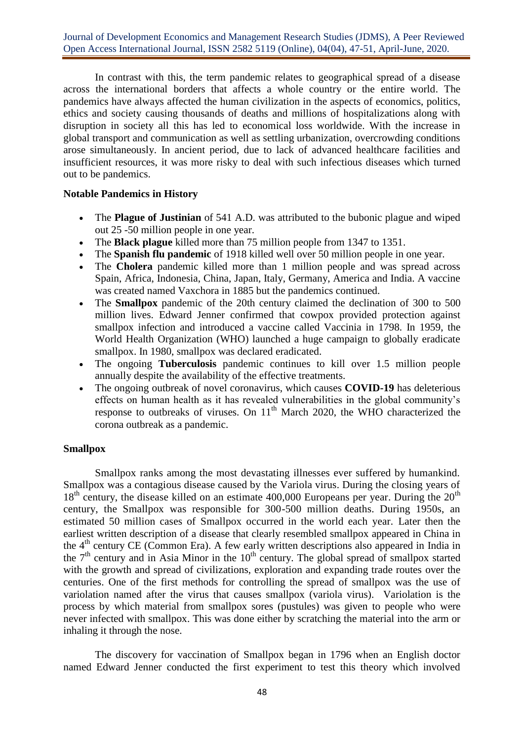Journal of Development Economics and Management Research Studies (JDMS), A Peer Reviewed Open Access International Journal, ISSN 2582 5119 (Online), 04(04), 47-51, April-June, 2020.

In contrast with this, the term pandemic relates to geographical spread of a disease across the international borders that affects a whole country or the entire world. The pandemics have always affected the human civilization in the aspects of economics, politics, ethics and society causing thousands of deaths and millions of hospitalizations along with disruption in society all this has led to economical loss worldwide. With the increase in global transport and communication as well as settling urbanization, overcrowding conditions arose simultaneously. In ancient period, due to lack of advanced healthcare facilities and insufficient resources, it was more risky to deal with such infectious diseases which turned out to be pandemics.

# **Notable Pandemics in History**

- The **Plague of Justinian** of 541 A.D. was attributed to the bubonic plague and wiped out 25 -50 million people in one year.
- The **Black plague** killed more than 75 million people from 1347 to 1351.
- The **[Spanish flu pandemic](https://www.verywellhealth.com/what-is-h1n1-swine-flu-770496)** of 1918 killed well over 50 million people in one year.
- The **Cholera** pandemic killed more than 1 million people and was spread across Spain, Africa, Indonesia, China, Japan, Italy, Germany, America and India. A vaccine was created named Vaxchora in 1885 but the pandemics continued.
- The **[Smallpox](https://www.verywellhealth.com/smallpox-overview-1068894)** pandemic of the 20th century claimed the declination of 300 to 500 million lives. Edward Jenner confirmed that cowpox provided protection against smallpox infection and introduced a vaccine called Vaccinia in 1798. In 1959, the World Health Organization (WHO) launched a huge campaign to globally eradicate smallpox. In 1980, smallpox was declared eradicated.
- The ongoing **Tuberculosis** pandemic continues to kill over 1.5 million people annually despite the availability of the effective treatments.
- The ongoing outbreak of novel coronavirus, which causes **COVID-19** has deleterious effects on human health as it has revealed vulnerabilities in the global community's response to outbreaks of viruses. On  $11<sup>th</sup>$  March 2020, the WHO characterized the corona outbreak as a pandemic.

# **Smallpox**

Smallpox ranks among the most devastating illnesses ever suffered by humankind. Smallpox was a contagious disease caused by the Variola virus. During the closing years of  $18<sup>th</sup>$  century, the disease killed on an estimate 400,000 Europeans per year. During the  $20<sup>th</sup>$ century, the Smallpox was responsible for 300-500 million deaths. During 1950s, an estimated 50 million cases of Smallpox occurred in the world each year. Later then the earliest written description of a disease that clearly resembled smallpox appeared in China in the 4th century CE (Common Era). A few early written descriptions also appeared in India in the  $7<sup>th</sup>$  century and in Asia Minor in the  $10<sup>th</sup>$  century. The global spread of smallpox started with the growth and spread of civilizations, exploration and expanding trade routes over the centuries. One of the first methods for controlling the spread of smallpox was the use of variolation named after the virus that causes smallpox (variola virus). Variolation is the process by which material from smallpox sores (pustules) was given to people who were never infected with smallpox. This was done either by scratching the material into the arm or inhaling it through the nose.

The discovery for vaccination of Smallpox began in 1796 when an English doctor named Edward Jenner conducted the first experiment to test this theory which involved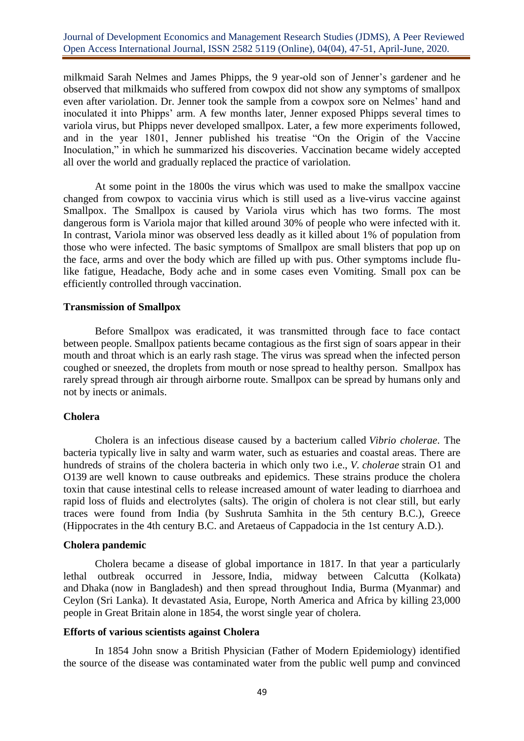# Journal of Development Economics and Management Research Studies (JDMS), A Peer Reviewed Open Access International Journal, ISSN 2582 5119 (Online), 04(04), 47-51, April-June, 2020.

milkmaid Sarah Nelmes and James Phipps, the 9 year-old son of Jenner's gardener and he observed that milkmaids who suffered from cowpox did not show any symptoms of smallpox even after variolation. Dr. Jenner took the sample from a cowpox sore on Nelmes' hand and inoculated it into Phipps' arm. A few months later, Jenner exposed Phipps several times to variola virus, but Phipps never developed smallpox. Later, a few more experiments followed, and in the year 1801, Jenner published his treatise "On the Origin of the Vaccine Inoculation," in which he summarized his discoveries. Vaccination became widely accepted all over the world and gradually replaced the practice of variolation.

At some point in the 1800s the virus which was used to make the smallpox vaccine changed from cowpox to vaccinia virus which is still used as a live-virus vaccine against Smallpox. The Smallpox is caused by Variola virus which has two forms. The most dangerous form is Variola major that killed around 30% of people who were infected with it. In contrast, Variola minor was observed less deadly as it killed about 1% of population from those who were infected. The basic symptoms of Smallpox are small blisters that pop up on the face, arms and over the body which are filled up with pus. Other symptoms include flulike fatigue, Headache, Body ache and in some cases even Vomiting. Small pox can be efficiently controlled through vaccination.

#### **Transmission of Smallpox**

Before Smallpox was eradicated, it was transmitted through face to face contact between people. Smallpox patients became contagious as the first sign of soars appear in their mouth and throat which is an early rash stage. The virus was spread when the infected person coughed or sneezed, the droplets from mouth or nose spread to healthy person. Smallpox has rarely spread through air through airborne route. Smallpox can be spread by humans only and not by inects or animals.

#### **Cholera**

Cholera is an infectious disease caused by a bacterium called *Vibrio cholerae*. The bacteria typically live in salty and warm water, such as estuaries and coastal areas. There are hundreds of strains of the cholera bacteria in which only two i.e., *V. cholerae* strain O1 and O139 are well known to cause outbreaks and epidemics. These strains produce the cholera toxin that cause intestinal cells to release increased amount of water leading to diarrhoea and rapid loss of fluids and electrolytes (salts). The origin of cholera is not clear still, but early traces were found from India (by Sushruta Samhita in the 5th century B.C.), Greece (Hippocrates in the 4th century B.C. and Aretaeus of Cappadocia in the 1st century A.D.).

### **Cholera pandemic**

Cholera became a disease of global importance in 1817. In that year a particularly lethal outbreak occurred in Jessore, India, midway between Calcutta (Kolkata) and Dhaka (now in Bangladesh) and then spread throughout India, Burma (Myanmar) and Ceylon (Sri Lanka). It devastated Asia, Europe, North America and Africa by killing 23,000 people in Great Britain alone in 1854, the worst single year of cholera.

#### **Efforts of various scientists against Cholera**

In 1854 John snow a British Physician (Father of Modern Epidemiology) identified the source of the disease was contaminated water from the public well pump and convinced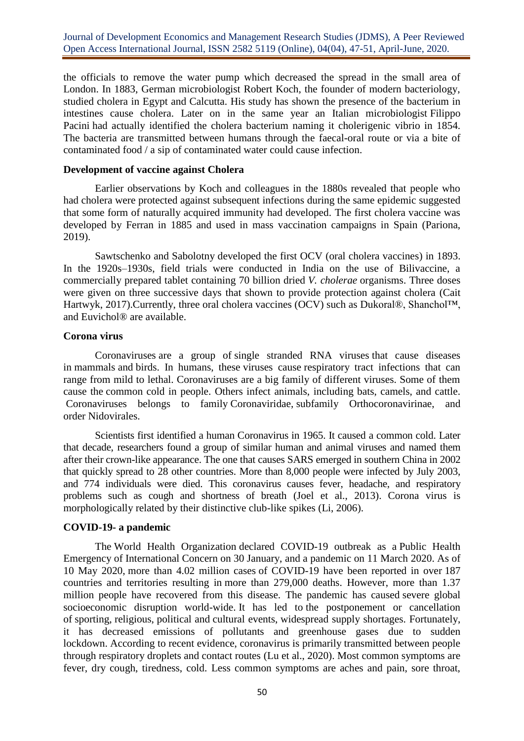Journal of Development Economics and Management Research Studies (JDMS), A Peer Reviewed Open Access International Journal, ISSN 2582 5119 (Online), 04(04), 47-51, April-June, 2020.

the officials to remove the water pump which decreased the spread in the small area of London. In 1883, German microbiologist Robert Koch, the founder of modern bacteriology, studied cholera in Egypt and Calcutta. His study has shown the presence of the bacterium in intestines cause cholera. Later on in the same year an Italian microbiologist Filippo Pacini had actually identified the cholera bacterium naming it cholerigenic vibrio in 1854. The bacteria are transmitted between humans through the faecal-oral route or via a bite of contaminated food / a sip of contaminated water could cause infection.

# **Development of vaccine against Cholera**

Earlier observations by Koch and colleagues in the 1880s revealed that people who had cholera were protected against subsequent infections during the same epidemic suggested that some form of naturally acquired immunity had developed. The first cholera vaccine was developed by Ferran in 1885 and used in mass vaccination campaigns in Spain (Pariona, 2019).

Sawtschenko and Sabolotny developed the first OCV (oral cholera vaccines) in 1893. In the 1920s–1930s, field trials were conducted in India on the use of Bilivaccine, a commercially prepared tablet containing 70 billion dried *V. cholerae* organisms. Three doses were given on three successive days that shown to provide protection against cholera (Cait Hartwyk, 2017).Currently, three oral cholera vaccines (OCV) such as Dukoral®, Shanchol™, and Euvichol® are available.

#### **Corona virus**

Coronaviruses are a group of single stranded RNA viruses that cause diseases in mammals and birds. In humans, these viruses cause respiratory tract infections that can range from mild to lethal. Coronaviruses are a big family of different viruses. Some of them cause the common cold in people. Others infect animals, including bats, camels, and cattle. Coronaviruses belongs to family Coronaviridae, subfamily Orthocoronavirinae, and order Nidovirales.

Scientists first identified a human Coronavirus in 1965. It caused a common cold. Later that decade, researchers found a group of similar human and animal viruses and named them after their crown-like appearance. The one that causes SARS emerged in southern China in 2002 that quickly spread to 28 other countries. More than 8,000 people were infected by July 2003, and 774 individuals were died. This coronavirus causes fever, headache, and respiratory problems such as cough and shortness of breath (Joel et al., 2013). Corona virus is morphologically related by their distinctive club-like spikes (Li, 2006).

## **COVID-19- a pandemic**

The World Health Organization declared COVID-19 outbreak as a Public Health Emergency of International Concern on 30 January, and a pandemic on 11 March 2020. As of 10 May 2020, more than 4.02 million cases of COVID-19 have been reported in over 187 countries and territories resulting in more than 279,000 deaths. However, more than 1.37 million people have recovered from this disease. The pandemic has caused severe global socioeconomic disruption world-wide. It has led to the postponement or cancellation of sporting, religious, political and cultural events, widespread supply shortages. Fortunately, it has decreased emissions of pollutants and greenhouse gases due to sudden lockdown. According to recent evidence, coronavirus is primarily transmitted between people through respiratory droplets and contact routes (Lu et al., 2020). Most common symptoms are fever, dry cough, tiredness, cold. Less common symptoms are aches and pain, sore throat,